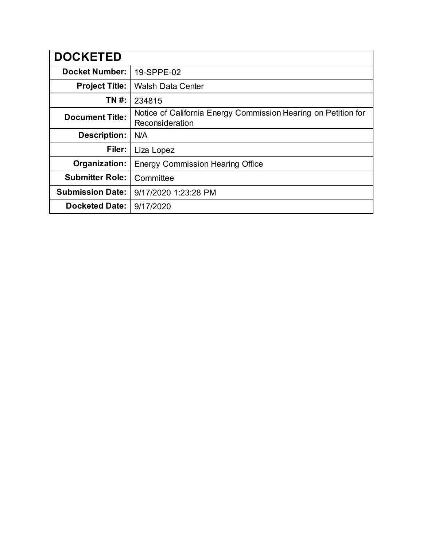| <b>DOCKETED</b>         |                                                                                   |
|-------------------------|-----------------------------------------------------------------------------------|
| <b>Docket Number:</b>   | 19-SPPE-02                                                                        |
| <b>Project Title:</b>   | <b>Walsh Data Center</b>                                                          |
| TN #:                   | 234815                                                                            |
| <b>Document Title:</b>  | Notice of California Energy Commission Hearing on Petition for<br>Reconsideration |
| <b>Description:</b>     | N/A                                                                               |
| Filer:                  | Liza Lopez                                                                        |
| Organization:           | <b>Energy Commission Hearing Office</b>                                           |
| <b>Submitter Role:</b>  | Committee                                                                         |
| <b>Submission Date:</b> | 9/17/2020 1:23:28 PM                                                              |
| <b>Docketed Date:</b>   | 9/17/2020                                                                         |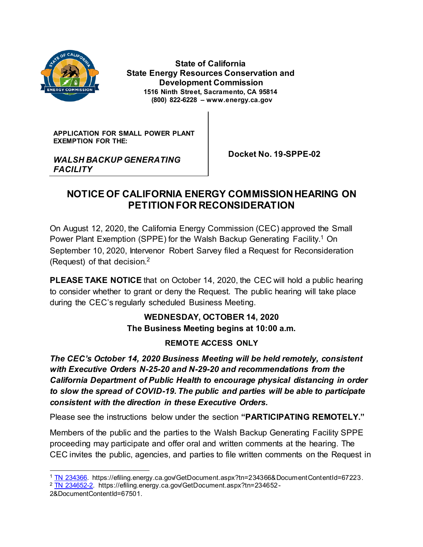

*FACILITY*

 **State of California State Energy Resources Conservation and Development Commission 1516 Ninth Street, Sacramento, CA 95814 (800) 822-6228 – www.energy.ca.gov**

**APPLICATION FOR SMALL POWER PLANT EXEMPTION FOR THE:**

*WALSH BACKUP GENERATING* 

 **Docket No. 19-SPPE-02**

# **NOTICE OF CALIFORNIA ENERGY COMMISSION HEARING ON PETITIONFOR RECONSIDERATION**

On August 12, 2020, the California Energy Commission (CEC) approved the Small Power Plant Exemption (SPPE) for the Walsh Backup Generating Facility.<sup>1</sup> On September 10, 2020, Intervenor Robert Sarvey filed a Request for Reconsideration (Request) of that decision.<sup>2</sup>

**PLEASE TAKE NOTICE** that on October 14, 2020, the CEC will hold a public hearing to consider whether to grant or deny the Request. The public hearing will take place during the CEC's regularly scheduled Business Meeting.

## **WEDNESDAY, OCTOBER 14, 2020 The Business Meeting begins at 10:00 a.m.**

## **REMOTE ACCESS ONLY**

*The CEC's October 14, 2020 Business Meeting will be held remotely, consistent with Executive Orders N-25-20 and N-29-20 and recommendations from the California Department of Public Health to encourage physical distancing in order to slow the spread of COVID-19. The public and parties will be able to participate consistent with the direction in these Executive Orders.*

Please see the instructions below under the section **"PARTICIPATING REMOTELY."**

Members of the public and the parties to the Walsh Backup Generating Facility SPPE proceeding may participate and offer oral and written comments at the hearing. The CEC invites the public, agencies, and parties to file written comments on the Request in

 <sup>1</sup> [TN 234366.](https://efiling.energy.ca.gov/GetDocument.aspx?tn=234366&DocumentContentId=67223) https://efiling.energy.ca.gov/GetDocument.aspx?tn=234366&DocumentContentId=67223.

<sup>&</sup>lt;sup>2</sup> [TN 234652-2.](https://efiling.energy.ca.gov/GetDocument.aspx?tn=234652-2&DocumentContentId=67501) https://efiling.energy.ca.gov/GetDocument.aspx?tn=234652-

<sup>2&</sup>amp;DocumentContentId=67501.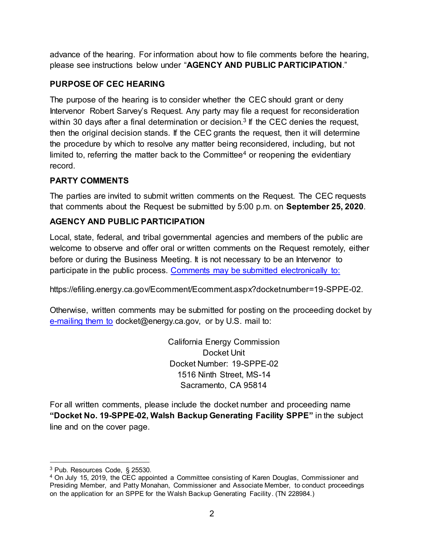advance of the hearing. For information about how to file comments before the hearing, please see instructions below under "**AGENCY AND PUBLIC PARTICIPATION**."

## **PURPOSE OF CEC HEARING**

The purpose of the hearing is to consider whether the CEC should grant or deny Intervenor Robert Sarvey's Request. Any party may file a request for reconsideration within 30 days after a final determination or decision.<sup>3</sup> If the CEC denies the request, then the original decision stands. If the CEC grants the request, then it will determine the procedure by which to resolve any matter being reconsidered, including, but not limited to, referring the matter back to the Committee<sup>4</sup> or reopening the evidentiary record.

## **PARTY COMMENTS**

The parties are invited to submit written comments on the Request. The CEC requests that comments about the Request be submitted by 5:00 p.m. on **September 25, 2020**.

## **AGENCY AND PUBLIC PARTICIPATION**

Local, state, federal, and tribal governmental agencies and members of the public are welcome to observe and offer oral or written comments on the Request remotely, either before or during the Business Meeting. It is not necessary to be an Intervenor to participate in the public process. [Comments may be submitted electronically to:](https://efiling.energy.ca.gov/Ecomment/Ecomment.aspx?docketnumber=19-SPPE-02)

https://efiling.energy.ca.gov/Ecomment/Ecomment.aspx?docketnumber=19-SPPE-02.

Otherwise, written comments may be submitted for posting on the proceeding docket by [e-mailing them to](mailto:docket@energy.ca.gov) docket@energy.ca.gov, or by U.S. mail to:

> California Energy Commission Docket Unit Docket Number: 19-SPPE-02 1516 Ninth Street, MS-14 Sacramento, CA 95814

For all written comments, please include the docket number and proceeding name **"Docket No. 19-SPPE-02, Walsh Backup Generating Facility SPPE"** in the subject line and on the cover page.

 <sup>3</sup> Pub. Resources Code, § 25530.

<sup>4</sup> On July 15, 2019, the CEC appointed a Committee consisting of Karen Douglas, Commissioner and Presiding Member, and Patty Monahan, Commissioner and Associate Member, to conduct proceedings on the application for an SPPE for the Walsh Backup Generating Facility. (TN 228984.)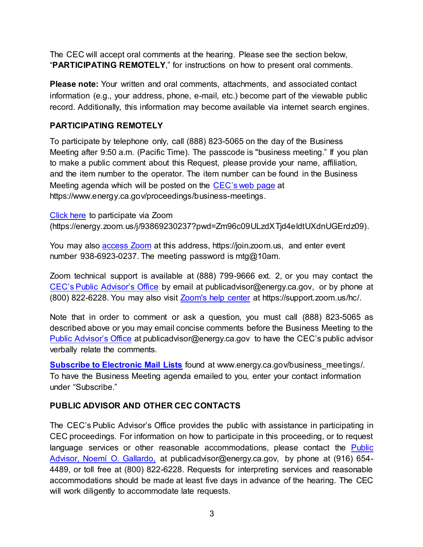The CEC will accept oral comments at the hearing. Please see the section below, "**PARTICIPATING REMOTELY**," for instructions on how to present oral comments.

**Please note:** Your written and oral comments, attachments, and associated contact information (e.g., your address, phone, e-mail, etc.) become part of the viewable public record. Additionally, this information may become available via internet search engines.

#### **PARTICIPATING REMOTELY**

To participate by telephone only, call (888) 823-5065 on the day of the Business Meeting after 9:50 a.m. (Pacific Time). The passcode is "business meeting." If you plan to make a public comment about this Request, please provide your name, affiliation, and the item number to the operator. The item number can be found in the Business Meeting agenda which will be posted on the CEC'[s web page](https://www.energy.ca.gov/proceedings/business-meetings) at https://www.energy.ca.gov/proceedings/business-meetings.

[Click here](https://energy.zoom.us/j/93869230237?pwd=Zm96c09ULzdXTjd4eldtUXdnUGErdz09) to participate via Zoom (https://energy.zoom.us/j/93869230237?pwd=Zm96c09ULzdXTjd4eldtUXdnUGErdz09).

You may also [access Zoom](https://join.zoom.us/) at this address, https://join.zoom.us, and enter event number 938-6923-0237. The meeting password is mtg@10am.

Zoom technical support is available at (888) 799-9666 ext. 2, or you may contact the [CEC's Public Advisor's Office](mailto:CEC’s%20Public%20Advisor’s%20Office) by email at publicadvisor@energy.ca.gov, or by phone at (800) 822-6228. You may also visit [Zoom's help center](https://support.zoom.us/hc) at https://support.zoom.us/hc/.

Note that in order to comment or ask a question, you must call (888) 823-5065 as described above or you may email concise comments before the Business Meeting to the [Public Advisor's Office](mailto:publicadvisor@energy.ca.gov) at publicadvisor@energy.ca.gov to have the CEC's public advisor verbally relate the comments.

**[Subscribe to Electronic Mail Lists](http://www.energy.ca.gov/business_meetings)** found at www.energy.ca.gov/business meetings/. To have the Business Meeting agenda emailed to you, enter your contact information under "Subscribe."

## **PUBLIC ADVISOR AND OTHER CEC CONTACTS**

The CEC's Public Advisor's Office provides the public with assistance in participating in CEC proceedings. For information on how to participate in this proceeding, or to request language services or other reasonable accommodations, please contact the [Public](mailto:publicadvisor@energy.ca.gov)  [Advisor, Noemí O. Gallardo,](mailto:publicadvisor@energy.ca.gov) at publicadvisor@energy.ca.gov, by phone at (916) 654- 4489, or toll free at (800) 822-6228. Requests for interpreting services and reasonable accommodations should be made at least five days in advance of the hearing. The CEC will work diligently to accommodate late requests.